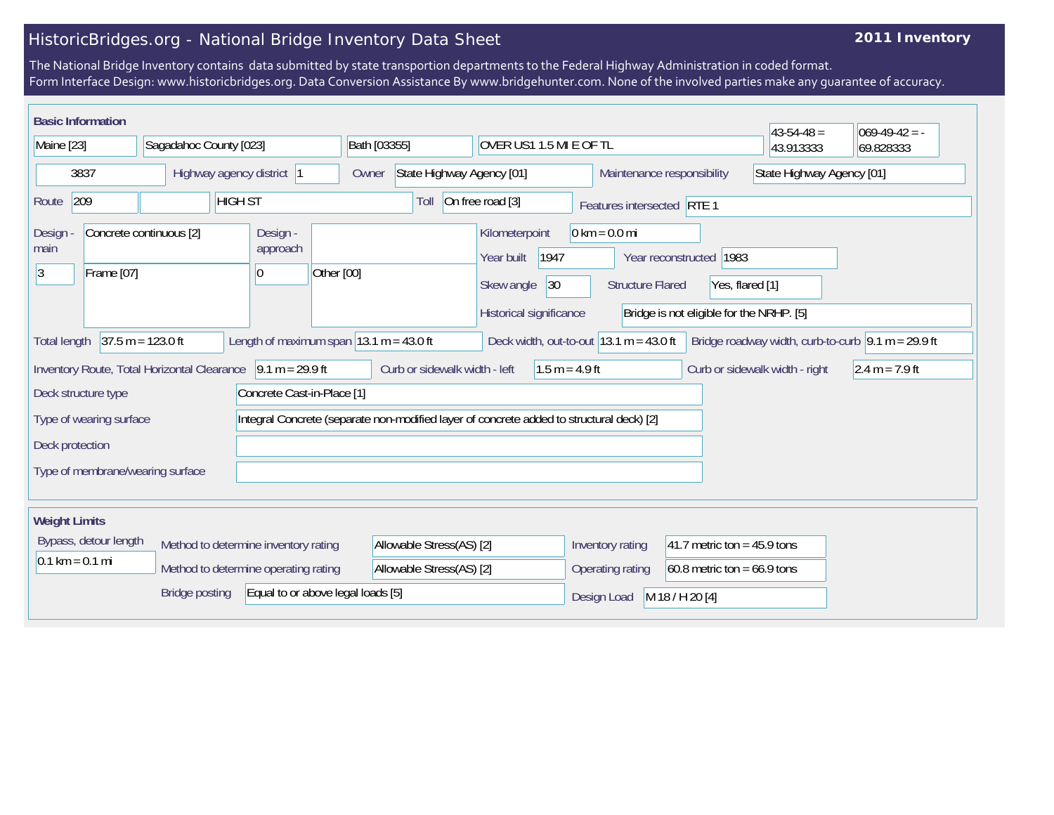## HistoricBridges.org - National Bridge Inventory Data Sheet

## **2011 Inventory**

The National Bridge Inventory contains data submitted by state transportion departments to the Federal Highway Administration in coded format. Form Interface Design: www.historicbridges.org. Data Conversion Assistance By www.bridgehunter.com. None of the involved parties make any guarantee of accuracy.

|                                                                                                                                                                                                                                                        | <b>Basic Information</b> |                                                             |                            |                                                        |  |                                                                                                                         |                                                   |                                |                         |                                                                                        |  |                  |  |                                |           | $43 - 54 - 48 =$ | $069-49-42 = -$  |
|--------------------------------------------------------------------------------------------------------------------------------------------------------------------------------------------------------------------------------------------------------|--------------------------|-------------------------------------------------------------|----------------------------|--------------------------------------------------------|--|-------------------------------------------------------------------------------------------------------------------------|---------------------------------------------------|--------------------------------|-------------------------|----------------------------------------------------------------------------------------|--|------------------|--|--------------------------------|-----------|------------------|------------------|
| Maine [23]                                                                                                                                                                                                                                             |                          |                                                             | Sagadahoc County [023]     |                                                        |  | Bath [03355]                                                                                                            |                                                   |                                | OVER US1 1.5 MI E OF TL |                                                                                        |  |                  |  |                                | 43.913333 | 69.828333        |                  |
| 3837                                                                                                                                                                                                                                                   |                          |                                                             | Highway agency district  1 |                                                        |  | State Highway Agency [01]<br>Owner                                                                                      |                                                   |                                |                         | Maintenance responsibility                                                             |  |                  |  | State Highway Agency [01]      |           |                  |                  |
| 209<br><b>HIGH ST</b><br>Route                                                                                                                                                                                                                         |                          |                                                             |                            | On free road [3]<br>Toll<br>Features intersected RTE 1 |  |                                                                                                                         |                                                   |                                |                         |                                                                                        |  |                  |  |                                |           |                  |                  |
| Concrete continuous [2]<br>Design<br>main<br>3<br>Frame [07]                                                                                                                                                                                           |                          |                                                             |                            | Design -<br>approach<br>Other [00]<br>10               |  | $0 \text{ km} = 0.0 \text{ mi}$<br>Kilometerpoint<br>Year built<br>1947<br>Skew angle<br> 30<br>Historical significance |                                                   |                                | <b>Structure Flared</b> | Year reconstructed 1983<br>Yes, flared [1]<br>Bridge is not eligible for the NRHP. [5] |  |                  |  |                                |           |                  |                  |
| $37.5 m = 123.0 ft$<br>Length of maximum span $ 13.1 \text{ m} = 43.0 \text{ ft} $<br>Bridge roadway width, curb-to-curb $\vert 9.1 \text{ m} = 29.9 \text{ ft}$<br>Deck width, out-to-out $ 13.1 \text{ m} = 43.0 \text{ ft} $<br><b>Total length</b> |                          |                                                             |                            |                                                        |  |                                                                                                                         |                                                   |                                |                         |                                                                                        |  |                  |  |                                |           |                  |                  |
|                                                                                                                                                                                                                                                        |                          | Inventory Route, Total Horizontal Clearance 9.1 m = 29.9 ft |                            |                                                        |  |                                                                                                                         | Curb or sidewalk width - left                     |                                |                         | $1.5 m = 4.9 ft$                                                                       |  |                  |  | Curb or sidewalk width - right |           |                  | $2.4 m = 7.9 ft$ |
| Concrete Cast-in-Place [1]<br>Deck structure type                                                                                                                                                                                                      |                          |                                                             |                            |                                                        |  |                                                                                                                         |                                                   |                                |                         |                                                                                        |  |                  |  |                                |           |                  |                  |
| Integral Concrete (separate non-modified layer of concrete added to structural deck) [2]<br>Type of wearing surface                                                                                                                                    |                          |                                                             |                            |                                                        |  |                                                                                                                         |                                                   |                                |                         |                                                                                        |  |                  |  |                                |           |                  |                  |
| Deck protection                                                                                                                                                                                                                                        |                          |                                                             |                            |                                                        |  |                                                                                                                         |                                                   |                                |                         |                                                                                        |  |                  |  |                                |           |                  |                  |
| Type of membrane/wearing surface                                                                                                                                                                                                                       |                          |                                                             |                            |                                                        |  |                                                                                                                         |                                                   |                                |                         |                                                                                        |  |                  |  |                                |           |                  |                  |
|                                                                                                                                                                                                                                                        |                          |                                                             |                            |                                                        |  |                                                                                                                         |                                                   |                                |                         |                                                                                        |  |                  |  |                                |           |                  |                  |
| <b>Weight Limits</b>                                                                                                                                                                                                                                   |                          |                                                             |                            |                                                        |  |                                                                                                                         |                                                   |                                |                         |                                                                                        |  |                  |  |                                |           |                  |                  |
| Bypass, detour length<br>Method to determine inventory rating                                                                                                                                                                                          |                          |                                                             | Allowable Stress(AS) [2]   |                                                        |  |                                                                                                                         | Inventory rating<br>41.7 metric ton = $45.9$ tons |                                |                         |                                                                                        |  |                  |  |                                |           |                  |                  |
| $0.1 \text{ km} = 0.1 \text{ mi}$                                                                                                                                                                                                                      |                          |                                                             |                            | Method to determine operating rating                   |  |                                                                                                                         | Allowable Stress(AS) [2]                          |                                |                         |                                                                                        |  | Operating rating |  | $60.8$ metric ton = 66.9 tons  |           |                  |                  |
| Equal to or above legal loads [5]<br><b>Bridge posting</b>                                                                                                                                                                                             |                          |                                                             |                            |                                                        |  |                                                                                                                         |                                                   | M 18 / H 20 [4]<br>Design Load |                         |                                                                                        |  |                  |  |                                |           |                  |                  |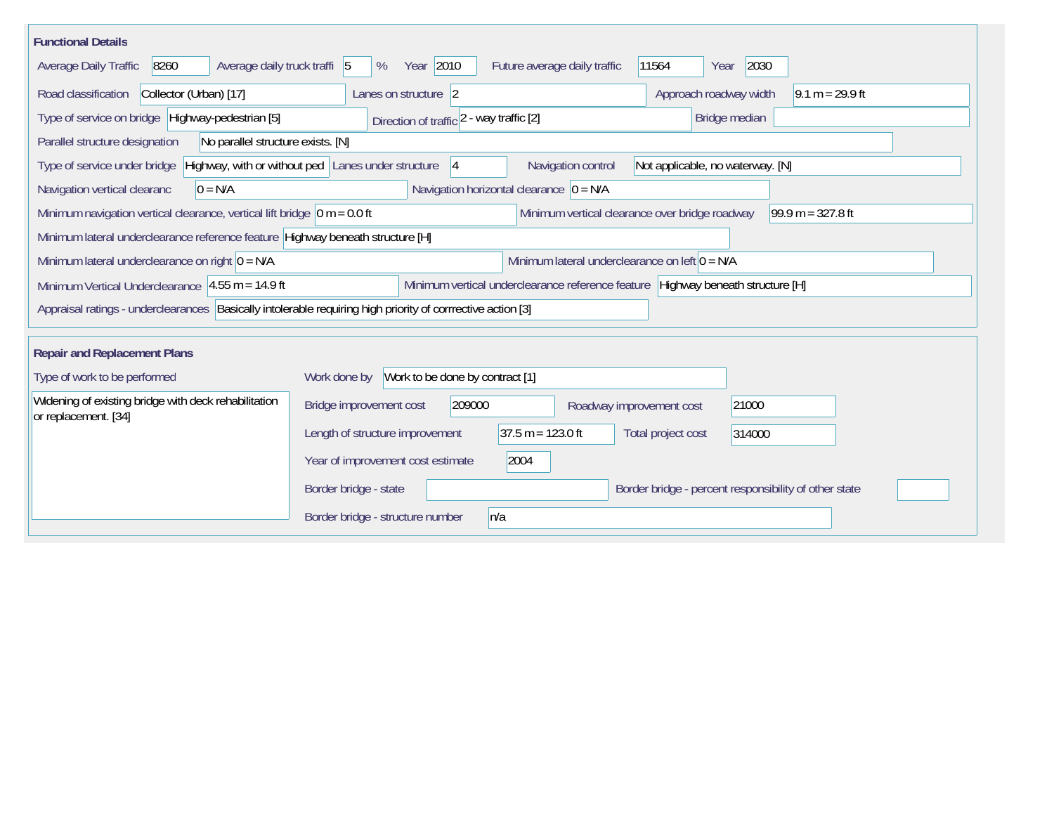| <b>Functional Details</b>                                                                                   |                                                                                                                    |
|-------------------------------------------------------------------------------------------------------------|--------------------------------------------------------------------------------------------------------------------|
| Average daily truck traffi 5<br>Average Daily Traffic<br>8260                                               | Year 2010<br>2030<br>Future average daily traffic<br>11564<br>%<br>Year                                            |
| Collector (Urban) [17]<br>Road classification                                                               | Approach roadway width<br>$9.1 m = 29.9 ft$<br>Lanes on structure 2                                                |
| Type of service on bridge Highway-pedestrian [5]                                                            | Direction of traffic 2 - way traffic [2]<br>Bridge median                                                          |
| No parallel structure exists. [N]<br>Parallel structure designation                                         |                                                                                                                    |
| Type of service under bridge                                                                                | Highway, with or without ped Lanes under structure<br>Navigation control<br>Not applicable, no waterway. [N]<br> 4 |
| Navigation vertical clearanc<br>$0 = N/A$                                                                   | Navigation horizontal clearance $ 0 = N/A $                                                                        |
| Minimum navigation vertical clearance, vertical lift bridge $\vert$ 0 m = 0.0 ft                            | Minimum vertical clearance over bridge roadway<br>$99.9 m = 327.8 ft$                                              |
| Minimum lateral underclearance reference feature Highway beneath structure [H]                              |                                                                                                                    |
| Minimum lateral underclearance on right $ 0 = N/A$                                                          | Minimum lateral underclearance on left $0 = N/A$                                                                   |
| Minimum Vertical Underclearance 4.55 m = 14.9 ft                                                            | Minimum vertical underclearance reference feature Highway beneath structure [H]                                    |
| Appraisal ratings - underclearances Basically intolerable requiring high priority of corrrective action [3] |                                                                                                                    |
| <b>Repair and Replacement Plans</b>                                                                         |                                                                                                                    |
| Type of work to be performed                                                                                | Work to be done by contract [1]<br>Work done by                                                                    |
| Widening of existing bridge with deck rehabilitation<br>or replacement. [34]                                | Bridge improvement cost<br>209000<br>21000<br>Roadway improvement cost                                             |
|                                                                                                             | $37.5 m = 123.0 ft$<br>Length of structure improvement<br>Total project cost<br>314000                             |
|                                                                                                             | Year of improvement cost estimate<br>2004                                                                          |
|                                                                                                             | Border bridge - percent responsibility of other state<br>Border bridge - state                                     |
|                                                                                                             | Border bridge - structure number<br>n/a                                                                            |